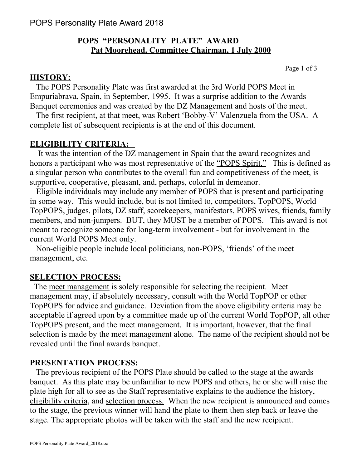## **POPS "PERSONALITY PLATE" AWARD Pat Moorehead, Committee Chairman, 1 July 2000**

Page 1 of 3

### **HISTORY:**

 The POPS Personality Plate was first awarded at the 3rd World POPS Meet in Empuriabrava, Spain, in September, 1995. It was a surprise addition to the Awards Banquet ceremonies and was created by the DZ Management and hosts of the meet.

 The first recipient, at that meet, was Robert 'Bobby-V' Valenzuela from the USA. A complete list of subsequent recipients is at the end of this document.

## **ELIGIBILITY CRITERIA:**

 It was the intention of the DZ management in Spain that the award recognizes and honors a participant who was most representative of the "POPS Spirit." This is defined as a singular person who contributes to the overall fun and competitiveness of the meet, is supportive, cooperative, pleasant, and, perhaps, colorful in demeanor.

 Eligible individuals may include any member of POPS that is present and participating in some way. This would include, but is not limited to, competitors, TopPOPS, World TopPOPS, judges, pilots, DZ staff, scorekeepers, manifestors, POPS wives, friends, family members, and non-jumpers. BUT, they MUST be a member of POPS. This award is not meant to recognize someone for long-term involvement - but for involvement in the current World POPS Meet only.

 Non-eligible people include local politicians, non-POPS, 'friends' of the meet management, etc.

### **SELECTION PROCESS:**

 The meet management is solely responsible for selecting the recipient. Meet management may, if absolutely necessary, consult with the World TopPOP or other TopPOPS for advice and guidance. Deviation from the above eligibility criteria may be acceptable if agreed upon by a committee made up of the current World TopPOP, all other TopPOPS present, and the meet management. It is important, however, that the final selection is made by the meet management alone. The name of the recipient should not be revealed until the final awards banquet.

#### **PRESENTATION PROCESS:**

 The previous recipient of the POPS Plate should be called to the stage at the awards banquet. As this plate may be unfamiliar to new POPS and others, he or she will raise the plate high for all to see as the Staff representative explains to the audience the history, eligibility criteria, and selection process. When the new recipient is announced and comes to the stage, the previous winner will hand the plate to them then step back or leave the stage. The appropriate photos will be taken with the staff and the new recipient.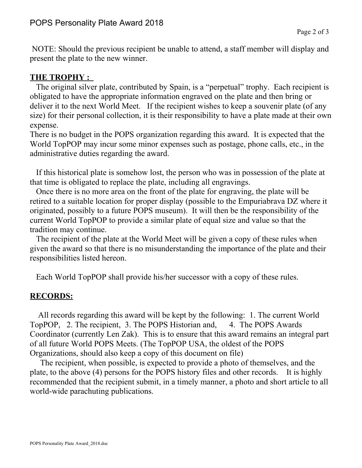NOTE: Should the previous recipient be unable to attend, a staff member will display and present the plate to the new winner.

## **THE TROPHY :**

 The original silver plate, contributed by Spain, is a "perpetual" trophy. Each recipient is obligated to have the appropriate information engraved on the plate and then bring or deliver it to the next World Meet. If the recipient wishes to keep a souvenir plate (of any size) for their personal collection, it is their responsibility to have a plate made at their own expense.

There is no budget in the POPS organization regarding this award. It is expected that the World TopPOP may incur some minor expenses such as postage, phone calls, etc., in the administrative duties regarding the award.

 If this historical plate is somehow lost, the person who was in possession of the plate at that time is obligated to replace the plate, including all engravings.

 Once there is no more area on the front of the plate for engraving, the plate will be retired to a suitable location for proper display (possible to the Empuriabrava DZ where it originated, possibly to a future POPS museum). It will then be the responsibility of the current World TopPOP to provide a similar plate of equal size and value so that the tradition may continue.

 The recipient of the plate at the World Meet will be given a copy of these rules when given the award so that there is no misunderstanding the importance of the plate and their responsibilities listed hereon.

Each World TopPOP shall provide his/her successor with a copy of these rules.

## **RECORDS:**

 All records regarding this award will be kept by the following: 1. The current World TopPOP, 2. The recipient, 3. The POPS Historian and, 4. The POPS Awards Coordinator (currently Len Zak). This is to ensure that this award remains an integral part of all future World POPS Meets. (The TopPOP USA, the oldest of the POPS Organizations, should also keep a copy of this document on file)

 The recipient, when possible, is expected to provide a photo of themselves, and the plate, to the above (4) persons for the POPS history files and other records. It is highly recommended that the recipient submit, in a timely manner, a photo and short article to all world-wide parachuting publications.